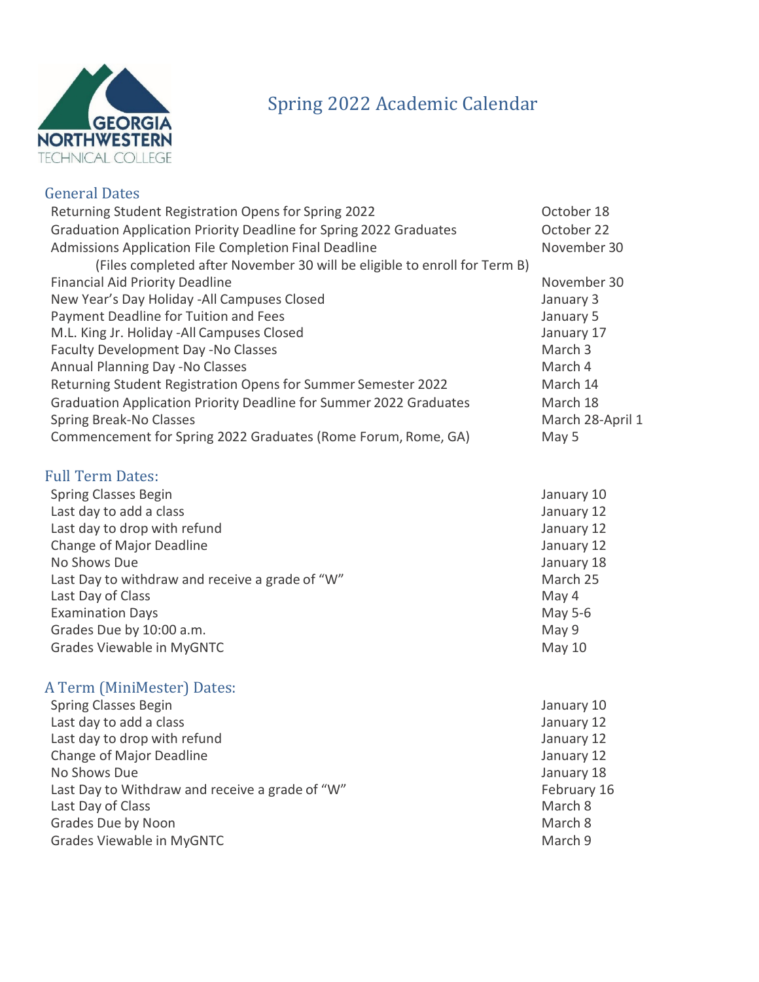

## Spring 2022 Academic Calendar

## General Dates

| Returning Student Registration Opens for Spring 2022                      | October 18       |
|---------------------------------------------------------------------------|------------------|
| Graduation Application Priority Deadline for Spring 2022 Graduates        | October 22       |
| Admissions Application File Completion Final Deadline                     | November 30      |
| (Files completed after November 30 will be eligible to enroll for Term B) |                  |
| <b>Financial Aid Priority Deadline</b>                                    | November 30      |
| New Year's Day Holiday -All Campuses Closed                               | January 3        |
| Payment Deadline for Tuition and Fees                                     | January 5        |
| M.L. King Jr. Holiday -All Campuses Closed                                | January 17       |
| Faculty Development Day -No Classes                                       | March 3          |
| Annual Planning Day -No Classes                                           | March 4          |
| Returning Student Registration Opens for Summer Semester 2022             | March 14         |
| Graduation Application Priority Deadline for Summer 2022 Graduates        | March 18         |
| Spring Break-No Classes                                                   | March 28-April 1 |
| Commencement for Spring 2022 Graduates (Rome Forum, Rome, GA)             | May 5            |
| <b>Full Term Dates:</b>                                                   |                  |
| <b>Spring Classes Begin</b>                                               | January 10       |
| Last day to add a class                                                   | January 12       |
| Last day to drop with refund                                              | January 12       |
| Change of Major Deadline                                                  | January 12       |
| No Shows Due                                                              | January 18       |
| Last Day to withdraw and receive a grade of "W"                           | March 25         |
| Last Day of Class                                                         | May 4            |
| <b>Examination Days</b>                                                   | May 5-6          |

## A Term (MiniMester) Dates:

| <b>Spring Classes Begin</b>                     | January 10  |
|-------------------------------------------------|-------------|
| Last day to add a class                         | January 12  |
| Last day to drop with refund                    | January 12  |
| Change of Major Deadline                        | January 12  |
| No Shows Due                                    | January 18  |
| Last Day to Withdraw and receive a grade of "W" | February 16 |
| Last Day of Class                               | March 8     |
| Grades Due by Noon                              | March 8     |
| Grades Viewable in MyGNTC                       | March 9     |

Grades Due by 10:00 a.m. Channel Communication of the May 9 Grades Viewable in MyGNTC and the Control of the May 10